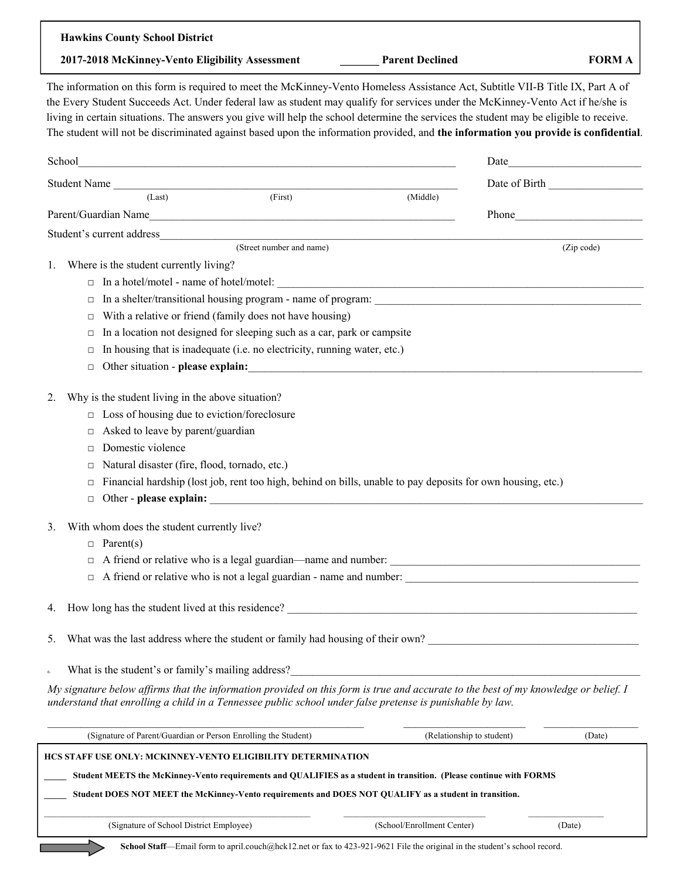| 2017-2018 McKinney-Vento Eligibility Assessment<br><b>Parent Declined</b><br><b>FORM A</b><br>The information on this form is required to meet the McKinney-Vento Homeless Assistance Act, Subtitle VII-B Title IX, Part A of<br>the Every Student Succeeds Act. Under federal law as student may qualify for services under the McKinney-Vento Act if he/she is<br>living in certain situations. The answers you give will help the school determine the services the student may be eligible to receive.<br>The student will not be discriminated against based upon the information provided, and the information you provide is confidential.<br>Date of Birth<br>Student Name<br>$\overline{\text{(First)}}$<br>(Last)<br>(Middle)<br>Phone and the contract of the contract of the contract of the contract of the contract of the contract of the contract of the contract of the contract of the contract of the contract of the contract of the contract of the<br>(Street number and name)<br>(Zip code)<br>Where is the student currently living?<br>$\Box$<br>In a shelter/transitional housing program - name of program:<br>$\Box$<br>With a relative or friend (family does not have housing)<br>$\Box$<br>In a location not designed for sleeping such as a car, park or campsite<br>$\Box$<br>In housing that is inadequate (i.e. no electricity, running water, etc.)<br>$\Box$<br>Other situation - please explain:<br>$\Box$<br>Why is the student living in the above situation?<br>Loss of housing due to eviction/foreclosure<br>$\Box$<br>Asked to leave by parent/guardian<br>$\Box$<br>Domestic violence<br>$\Box$<br>Natural disaster (fire, flood, tornado, etc.)<br>□<br>Financial hardship (lost job, rent too high, behind on bills, unable to pay deposits for own housing, etc.)<br>$\Box$<br>Other - please explain:<br>$\Box$<br>With whom does the student currently live?<br>$\Box$ Parent(s)<br>□<br>A friend or relative who is not a legal guardian - name and number:<br>$\Box$<br>What was the last address where the student or family had housing of their own?<br>My signature below affirms that the information provided on this form is true and accurate to the best of my knowledge or belief. I<br>understand that enrolling a child in a Tennessee public school under false pretense is punishable by law.<br>(Signature of Parent/Guardian or Person Enrolling the Student)<br>(Relationship to student)<br>(Date)<br>HCS STAFF USE ONLY: MCKINNEY-VENTO ELIGIBILITY DETERMINATION | <b>Hawkins County School District</b> |  |
|------------------------------------------------------------------------------------------------------------------------------------------------------------------------------------------------------------------------------------------------------------------------------------------------------------------------------------------------------------------------------------------------------------------------------------------------------------------------------------------------------------------------------------------------------------------------------------------------------------------------------------------------------------------------------------------------------------------------------------------------------------------------------------------------------------------------------------------------------------------------------------------------------------------------------------------------------------------------------------------------------------------------------------------------------------------------------------------------------------------------------------------------------------------------------------------------------------------------------------------------------------------------------------------------------------------------------------------------------------------------------------------------------------------------------------------------------------------------------------------------------------------------------------------------------------------------------------------------------------------------------------------------------------------------------------------------------------------------------------------------------------------------------------------------------------------------------------------------------------------------------------------------------------------------------------------------------------------------------------------------------------------------------------------------------------------------------------------------------------------------------------------------------------------------------------------------------------------------------------------------------------------------------------------------------------------------------------------------------------------------------------------------------------------------------------------------------------------------------------------------------------------------------------------|---------------------------------------|--|
|                                                                                                                                                                                                                                                                                                                                                                                                                                                                                                                                                                                                                                                                                                                                                                                                                                                                                                                                                                                                                                                                                                                                                                                                                                                                                                                                                                                                                                                                                                                                                                                                                                                                                                                                                                                                                                                                                                                                                                                                                                                                                                                                                                                                                                                                                                                                                                                                                                                                                                                                          |                                       |  |
|                                                                                                                                                                                                                                                                                                                                                                                                                                                                                                                                                                                                                                                                                                                                                                                                                                                                                                                                                                                                                                                                                                                                                                                                                                                                                                                                                                                                                                                                                                                                                                                                                                                                                                                                                                                                                                                                                                                                                                                                                                                                                                                                                                                                                                                                                                                                                                                                                                                                                                                                          |                                       |  |
|                                                                                                                                                                                                                                                                                                                                                                                                                                                                                                                                                                                                                                                                                                                                                                                                                                                                                                                                                                                                                                                                                                                                                                                                                                                                                                                                                                                                                                                                                                                                                                                                                                                                                                                                                                                                                                                                                                                                                                                                                                                                                                                                                                                                                                                                                                                                                                                                                                                                                                                                          |                                       |  |
|                                                                                                                                                                                                                                                                                                                                                                                                                                                                                                                                                                                                                                                                                                                                                                                                                                                                                                                                                                                                                                                                                                                                                                                                                                                                                                                                                                                                                                                                                                                                                                                                                                                                                                                                                                                                                                                                                                                                                                                                                                                                                                                                                                                                                                                                                                                                                                                                                                                                                                                                          |                                       |  |
|                                                                                                                                                                                                                                                                                                                                                                                                                                                                                                                                                                                                                                                                                                                                                                                                                                                                                                                                                                                                                                                                                                                                                                                                                                                                                                                                                                                                                                                                                                                                                                                                                                                                                                                                                                                                                                                                                                                                                                                                                                                                                                                                                                                                                                                                                                                                                                                                                                                                                                                                          |                                       |  |
|                                                                                                                                                                                                                                                                                                                                                                                                                                                                                                                                                                                                                                                                                                                                                                                                                                                                                                                                                                                                                                                                                                                                                                                                                                                                                                                                                                                                                                                                                                                                                                                                                                                                                                                                                                                                                                                                                                                                                                                                                                                                                                                                                                                                                                                                                                                                                                                                                                                                                                                                          |                                       |  |
|                                                                                                                                                                                                                                                                                                                                                                                                                                                                                                                                                                                                                                                                                                                                                                                                                                                                                                                                                                                                                                                                                                                                                                                                                                                                                                                                                                                                                                                                                                                                                                                                                                                                                                                                                                                                                                                                                                                                                                                                                                                                                                                                                                                                                                                                                                                                                                                                                                                                                                                                          |                                       |  |
|                                                                                                                                                                                                                                                                                                                                                                                                                                                                                                                                                                                                                                                                                                                                                                                                                                                                                                                                                                                                                                                                                                                                                                                                                                                                                                                                                                                                                                                                                                                                                                                                                                                                                                                                                                                                                                                                                                                                                                                                                                                                                                                                                                                                                                                                                                                                                                                                                                                                                                                                          |                                       |  |
|                                                                                                                                                                                                                                                                                                                                                                                                                                                                                                                                                                                                                                                                                                                                                                                                                                                                                                                                                                                                                                                                                                                                                                                                                                                                                                                                                                                                                                                                                                                                                                                                                                                                                                                                                                                                                                                                                                                                                                                                                                                                                                                                                                                                                                                                                                                                                                                                                                                                                                                                          | 1.                                    |  |
|                                                                                                                                                                                                                                                                                                                                                                                                                                                                                                                                                                                                                                                                                                                                                                                                                                                                                                                                                                                                                                                                                                                                                                                                                                                                                                                                                                                                                                                                                                                                                                                                                                                                                                                                                                                                                                                                                                                                                                                                                                                                                                                                                                                                                                                                                                                                                                                                                                                                                                                                          |                                       |  |
|                                                                                                                                                                                                                                                                                                                                                                                                                                                                                                                                                                                                                                                                                                                                                                                                                                                                                                                                                                                                                                                                                                                                                                                                                                                                                                                                                                                                                                                                                                                                                                                                                                                                                                                                                                                                                                                                                                                                                                                                                                                                                                                                                                                                                                                                                                                                                                                                                                                                                                                                          |                                       |  |
|                                                                                                                                                                                                                                                                                                                                                                                                                                                                                                                                                                                                                                                                                                                                                                                                                                                                                                                                                                                                                                                                                                                                                                                                                                                                                                                                                                                                                                                                                                                                                                                                                                                                                                                                                                                                                                                                                                                                                                                                                                                                                                                                                                                                                                                                                                                                                                                                                                                                                                                                          |                                       |  |
|                                                                                                                                                                                                                                                                                                                                                                                                                                                                                                                                                                                                                                                                                                                                                                                                                                                                                                                                                                                                                                                                                                                                                                                                                                                                                                                                                                                                                                                                                                                                                                                                                                                                                                                                                                                                                                                                                                                                                                                                                                                                                                                                                                                                                                                                                                                                                                                                                                                                                                                                          |                                       |  |
|                                                                                                                                                                                                                                                                                                                                                                                                                                                                                                                                                                                                                                                                                                                                                                                                                                                                                                                                                                                                                                                                                                                                                                                                                                                                                                                                                                                                                                                                                                                                                                                                                                                                                                                                                                                                                                                                                                                                                                                                                                                                                                                                                                                                                                                                                                                                                                                                                                                                                                                                          |                                       |  |
|                                                                                                                                                                                                                                                                                                                                                                                                                                                                                                                                                                                                                                                                                                                                                                                                                                                                                                                                                                                                                                                                                                                                                                                                                                                                                                                                                                                                                                                                                                                                                                                                                                                                                                                                                                                                                                                                                                                                                                                                                                                                                                                                                                                                                                                                                                                                                                                                                                                                                                                                          |                                       |  |
|                                                                                                                                                                                                                                                                                                                                                                                                                                                                                                                                                                                                                                                                                                                                                                                                                                                                                                                                                                                                                                                                                                                                                                                                                                                                                                                                                                                                                                                                                                                                                                                                                                                                                                                                                                                                                                                                                                                                                                                                                                                                                                                                                                                                                                                                                                                                                                                                                                                                                                                                          | 2.                                    |  |
|                                                                                                                                                                                                                                                                                                                                                                                                                                                                                                                                                                                                                                                                                                                                                                                                                                                                                                                                                                                                                                                                                                                                                                                                                                                                                                                                                                                                                                                                                                                                                                                                                                                                                                                                                                                                                                                                                                                                                                                                                                                                                                                                                                                                                                                                                                                                                                                                                                                                                                                                          |                                       |  |
|                                                                                                                                                                                                                                                                                                                                                                                                                                                                                                                                                                                                                                                                                                                                                                                                                                                                                                                                                                                                                                                                                                                                                                                                                                                                                                                                                                                                                                                                                                                                                                                                                                                                                                                                                                                                                                                                                                                                                                                                                                                                                                                                                                                                                                                                                                                                                                                                                                                                                                                                          |                                       |  |
|                                                                                                                                                                                                                                                                                                                                                                                                                                                                                                                                                                                                                                                                                                                                                                                                                                                                                                                                                                                                                                                                                                                                                                                                                                                                                                                                                                                                                                                                                                                                                                                                                                                                                                                                                                                                                                                                                                                                                                                                                                                                                                                                                                                                                                                                                                                                                                                                                                                                                                                                          |                                       |  |
|                                                                                                                                                                                                                                                                                                                                                                                                                                                                                                                                                                                                                                                                                                                                                                                                                                                                                                                                                                                                                                                                                                                                                                                                                                                                                                                                                                                                                                                                                                                                                                                                                                                                                                                                                                                                                                                                                                                                                                                                                                                                                                                                                                                                                                                                                                                                                                                                                                                                                                                                          |                                       |  |
|                                                                                                                                                                                                                                                                                                                                                                                                                                                                                                                                                                                                                                                                                                                                                                                                                                                                                                                                                                                                                                                                                                                                                                                                                                                                                                                                                                                                                                                                                                                                                                                                                                                                                                                                                                                                                                                                                                                                                                                                                                                                                                                                                                                                                                                                                                                                                                                                                                                                                                                                          |                                       |  |
|                                                                                                                                                                                                                                                                                                                                                                                                                                                                                                                                                                                                                                                                                                                                                                                                                                                                                                                                                                                                                                                                                                                                                                                                                                                                                                                                                                                                                                                                                                                                                                                                                                                                                                                                                                                                                                                                                                                                                                                                                                                                                                                                                                                                                                                                                                                                                                                                                                                                                                                                          |                                       |  |
|                                                                                                                                                                                                                                                                                                                                                                                                                                                                                                                                                                                                                                                                                                                                                                                                                                                                                                                                                                                                                                                                                                                                                                                                                                                                                                                                                                                                                                                                                                                                                                                                                                                                                                                                                                                                                                                                                                                                                                                                                                                                                                                                                                                                                                                                                                                                                                                                                                                                                                                                          | 3.                                    |  |
|                                                                                                                                                                                                                                                                                                                                                                                                                                                                                                                                                                                                                                                                                                                                                                                                                                                                                                                                                                                                                                                                                                                                                                                                                                                                                                                                                                                                                                                                                                                                                                                                                                                                                                                                                                                                                                                                                                                                                                                                                                                                                                                                                                                                                                                                                                                                                                                                                                                                                                                                          |                                       |  |
|                                                                                                                                                                                                                                                                                                                                                                                                                                                                                                                                                                                                                                                                                                                                                                                                                                                                                                                                                                                                                                                                                                                                                                                                                                                                                                                                                                                                                                                                                                                                                                                                                                                                                                                                                                                                                                                                                                                                                                                                                                                                                                                                                                                                                                                                                                                                                                                                                                                                                                                                          |                                       |  |
|                                                                                                                                                                                                                                                                                                                                                                                                                                                                                                                                                                                                                                                                                                                                                                                                                                                                                                                                                                                                                                                                                                                                                                                                                                                                                                                                                                                                                                                                                                                                                                                                                                                                                                                                                                                                                                                                                                                                                                                                                                                                                                                                                                                                                                                                                                                                                                                                                                                                                                                                          |                                       |  |
|                                                                                                                                                                                                                                                                                                                                                                                                                                                                                                                                                                                                                                                                                                                                                                                                                                                                                                                                                                                                                                                                                                                                                                                                                                                                                                                                                                                                                                                                                                                                                                                                                                                                                                                                                                                                                                                                                                                                                                                                                                                                                                                                                                                                                                                                                                                                                                                                                                                                                                                                          | 4.                                    |  |
|                                                                                                                                                                                                                                                                                                                                                                                                                                                                                                                                                                                                                                                                                                                                                                                                                                                                                                                                                                                                                                                                                                                                                                                                                                                                                                                                                                                                                                                                                                                                                                                                                                                                                                                                                                                                                                                                                                                                                                                                                                                                                                                                                                                                                                                                                                                                                                                                                                                                                                                                          | 5.                                    |  |
|                                                                                                                                                                                                                                                                                                                                                                                                                                                                                                                                                                                                                                                                                                                                                                                                                                                                                                                                                                                                                                                                                                                                                                                                                                                                                                                                                                                                                                                                                                                                                                                                                                                                                                                                                                                                                                                                                                                                                                                                                                                                                                                                                                                                                                                                                                                                                                                                                                                                                                                                          | 6.                                    |  |
|                                                                                                                                                                                                                                                                                                                                                                                                                                                                                                                                                                                                                                                                                                                                                                                                                                                                                                                                                                                                                                                                                                                                                                                                                                                                                                                                                                                                                                                                                                                                                                                                                                                                                                                                                                                                                                                                                                                                                                                                                                                                                                                                                                                                                                                                                                                                                                                                                                                                                                                                          |                                       |  |
|                                                                                                                                                                                                                                                                                                                                                                                                                                                                                                                                                                                                                                                                                                                                                                                                                                                                                                                                                                                                                                                                                                                                                                                                                                                                                                                                                                                                                                                                                                                                                                                                                                                                                                                                                                                                                                                                                                                                                                                                                                                                                                                                                                                                                                                                                                                                                                                                                                                                                                                                          |                                       |  |
|                                                                                                                                                                                                                                                                                                                                                                                                                                                                                                                                                                                                                                                                                                                                                                                                                                                                                                                                                                                                                                                                                                                                                                                                                                                                                                                                                                                                                                                                                                                                                                                                                                                                                                                                                                                                                                                                                                                                                                                                                                                                                                                                                                                                                                                                                                                                                                                                                                                                                                                                          |                                       |  |
| Student MEETS the McKinney-Vento requirements and QUALIFIES as a student in transition. (Please continue with FORMS                                                                                                                                                                                                                                                                                                                                                                                                                                                                                                                                                                                                                                                                                                                                                                                                                                                                                                                                                                                                                                                                                                                                                                                                                                                                                                                                                                                                                                                                                                                                                                                                                                                                                                                                                                                                                                                                                                                                                                                                                                                                                                                                                                                                                                                                                                                                                                                                                      |                                       |  |
| Student DOES NOT MEET the McKinney-Vento requirements and DOES NOT QUALIFY as a student in transition.                                                                                                                                                                                                                                                                                                                                                                                                                                                                                                                                                                                                                                                                                                                                                                                                                                                                                                                                                                                                                                                                                                                                                                                                                                                                                                                                                                                                                                                                                                                                                                                                                                                                                                                                                                                                                                                                                                                                                                                                                                                                                                                                                                                                                                                                                                                                                                                                                                   |                                       |  |

| (Signature of School District Employee) | (School/Enrollment Center) | Date) |
|-----------------------------------------|----------------------------|-------|

С

**School Staff**—Email form to april.couch@hck12.net or fax to 423-921-9621 File the original in the student's school record.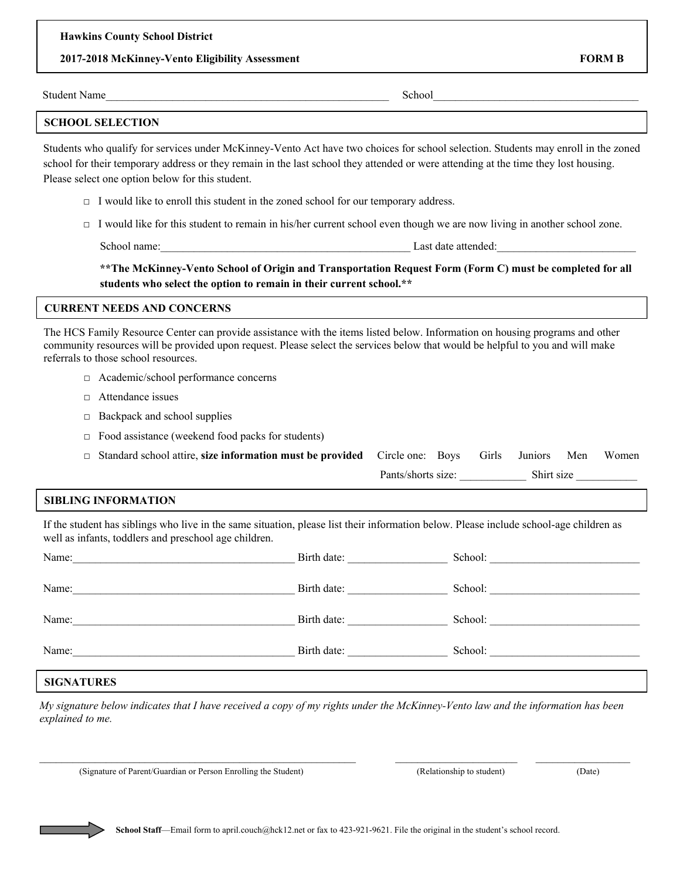## **2017-2018 McKinney-Vento Eligibility Assessment FORM B**

| <b>Student Name</b> | school |  |
|---------------------|--------|--|
|                     |        |  |

## **SCHOOL SELECTION**

Students who qualify for services under McKinney-Vento Act have two choices for school selection. Students may enroll in the zoned school for their temporary address or they remain in the last school they attended or were attending at the time they lost housing. Please select one option below for this student.

- $\Box$  I would like to enroll this student in the zoned school for our temporary address.
- □ I would like for this student to remain in his/her current school even though we are now living in another school zone.

School name:\_\_\_\_\_\_\_\_\_\_\_\_\_\_\_\_\_\_\_\_\_\_\_\_\_\_\_\_\_\_\_\_\_\_\_\_\_\_\_\_\_\_\_\_\_ Last date attended:\_\_\_\_\_\_\_\_\_\_\_\_\_\_\_\_\_\_\_\_\_\_\_\_\_

# **\*\*The McKinney-Vento School of Origin and Transportation Request Form (Form C) must be completed for all students who select the option to remain in their current school.\*\***

## **CURRENT NEEDS AND CONCERNS**

The HCS Family Resource Center can provide assistance with the items listed below. Information on housing programs and other community resources will be provided upon request. Please select the services below that would be helpful to you and will make referrals to those school resources.

- □ Academic/school performance concerns
- □ Attendance issues
- $\Box$  Backpack and school supplies
- $\Box$  Food assistance (weekend food packs for students)
- □ Standard school attire, **size information must be provided** Circle one: Boys Girls Juniors Men Women Pants/shorts size: Shirt size

# **SIBLING INFORMATION**

If the student has siblings who live in the same situation, please list their information below. Please include school-age children as well as infants, toddlers and preschool age children.

| Name:                                                                               | Birth date: |         |
|-------------------------------------------------------------------------------------|-------------|---------|
| Name:<br>the control of the control of the control of the control of the control of | Birth date: | School: |
| Name:                                                                               | Birth date: | School: |
| Name:                                                                               | Birth date: | School: |
|                                                                                     |             |         |

# **SIGNATURES**

*My signature below indicates that I have received a copy of my rights under the McKinney-Vento law and the information has been explained to me.* 

 $\_$  , and the state of the state of the state of the state of the state of the state of the state of the state of the state of the state of the state of the state of the state of the state of the state of the state of the

(Signature of Parent/Guardian or Person Enrolling the Student) (Relationship to student) (Date)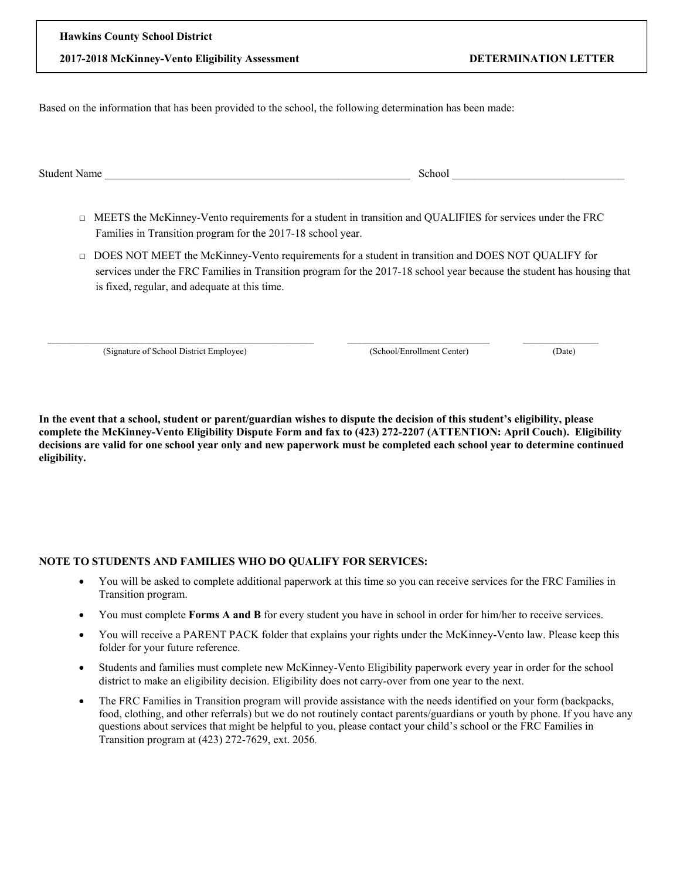| <b>TRAVISION COUNTY SCHOOL DISTRICT</b>         |
|-------------------------------------------------|
| 2017-2018 McKinney-Vento Eligibility Assessment |

**Hawkins County School District**

Based on the information that has been provided to the school, the following determination has been made:

Student Name \_\_\_\_\_\_\_\_\_\_\_\_\_\_\_\_\_\_\_\_\_\_\_\_\_\_\_\_\_\_\_\_\_\_\_\_\_\_\_\_\_\_\_\_\_\_\_\_\_\_\_\_\_\_\_ School \_\_\_\_\_\_\_\_\_\_\_\_\_\_\_\_\_\_\_\_\_\_\_\_\_\_\_\_\_\_\_

- □ MEETS the McKinney-Vento requirements for a student in transition and QUALIFIES for services under the FRC Families in Transition program for the 2017-18 school year.
- □ DOES NOT MEET the McKinney-Vento requirements for a student in transition and DOES NOT QUALIFY for services under the FRC Families in Transition program for the 2017-18 school year because the student has housing that is fixed, regular, and adequate at this time.

(Signature of School District Employee) (School/Enrollment Center) (Date)

**In the event that a school, student or parent/guardian wishes to dispute the decision of this student's eligibility, please complete the McKinney-Vento Eligibility Dispute Form and fax to (423) 272-2207 (ATTENTION: April Couch). Eligibility decisions are valid for one school year only and new paperwork must be completed each school year to determine continued eligibility.** 

 $\frac{1}{2}$  ,  $\frac{1}{2}$  ,  $\frac{1}{2}$  ,  $\frac{1}{2}$  ,  $\frac{1}{2}$  ,  $\frac{1}{2}$  ,  $\frac{1}{2}$  ,  $\frac{1}{2}$  ,  $\frac{1}{2}$  ,  $\frac{1}{2}$  ,  $\frac{1}{2}$  ,  $\frac{1}{2}$  ,  $\frac{1}{2}$  ,  $\frac{1}{2}$  ,  $\frac{1}{2}$  ,  $\frac{1}{2}$  ,  $\frac{1}{2}$  ,  $\frac{1}{2}$  ,  $\frac{1$ 

# **NOTE TO STUDENTS AND FAMILIES WHO DO QUALIFY FOR SERVICES:**

- You will be asked to complete additional paperwork at this time so you can receive services for the FRC Families in Transition program.
- You must complete **Forms A and B** for every student you have in school in order for him/her to receive services.
- You will receive a PARENT PACK folder that explains your rights under the McKinney-Vento law. Please keep this folder for your future reference.
- Students and families must complete new McKinney-Vento Eligibility paperwork every year in order for the school district to make an eligibility decision. Eligibility does not carry-over from one year to the next.
- The FRC Families in Transition program will provide assistance with the needs identified on your form (backpacks, food, clothing, and other referrals) but we do not routinely contact parents/guardians or youth by phone. If you have any questions about services that might be helpful to you, please contact your child's school or the FRC Families in Transition program at (423) 272-7629, ext. 2056.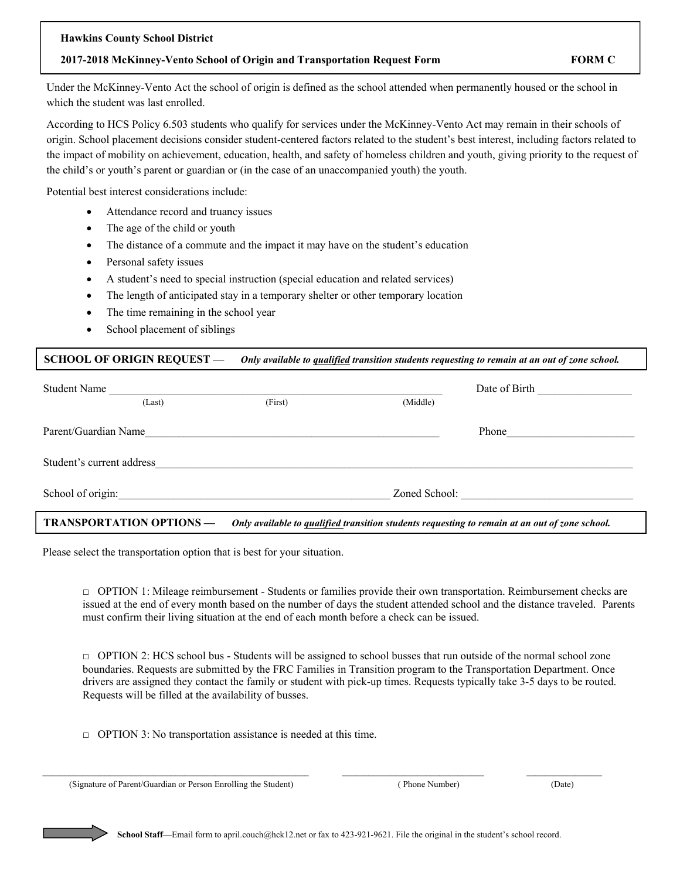#### **Hawkins County School District**

## **2017-2018 McKinney-Vento School of Origin and Transportation Request Form FORM C**

Under the McKinney-Vento Act the school of origin is defined as the school attended when permanently housed or the school in which the student was last enrolled.

According to HCS Policy 6.503 students who qualify for services under the McKinney-Vento Act may remain in their schools of origin. School placement decisions consider student-centered factors related to the student's best interest, including factors related to the impact of mobility on achievement, education, health, and safety of homeless children and youth, giving priority to the request of the child's or youth's parent or guardian or (in the case of an unaccompanied youth) the youth.

Potential best interest considerations include:

- Attendance record and truancy issues
- The age of the child or youth
- The distance of a commute and the impact it may have on the student's education
- Personal safety issues
- A student's need to special instruction (special education and related services)
- The length of anticipated stay in a temporary shelter or other temporary location
- The time remaining in the school year
- School placement of siblings

## **SCHOOL OF ORIGIN REQUEST —** *Only available to qualified transition students requesting to remain at an out of zone school.*

| Student Name                                                                                                                      |        |                                                                                                                  |          | Date of Birth |
|-----------------------------------------------------------------------------------------------------------------------------------|--------|------------------------------------------------------------------------------------------------------------------|----------|---------------|
|                                                                                                                                   | (Last) | (First)                                                                                                          | (Middle) |               |
| Parent/Guardian Name                                                                                                              |        | <u> 1980 - Jan James James Santan (j. 1980)</u>                                                                  |          | Phone         |
| Student's current address                                                                                                         |        | and the control of the control of the control of the control of the control of the control of the control of the |          |               |
|                                                                                                                                   |        | School of origin:                                                                                                |          | Zoned School: |
| <b>TRANSPORTATION OPTIONS —</b><br>Only available to qualified transition students requesting to remain at an out of zone school. |        |                                                                                                                  |          |               |

Please select the transportation option that is best for your situation.

□ OPTION 1: Mileage reimbursement - Students or families provide their own transportation. Reimbursement checks are issued at the end of every month based on the number of days the student attended school and the distance traveled. Parents must confirm their living situation at the end of each month before a check can be issued.

 $\Box$  OPTION 2: HCS school bus - Students will be assigned to school busses that run outside of the normal school zone boundaries. Requests are submitted by the FRC Families in Transition program to the Transportation Department. Once drivers are assigned they contact the family or student with pick-up times. Requests typically take 3-5 days to be routed. Requests will be filled at the availability of busses.

 $\Box$  OPTION 3: No transportation assistance is needed at this time.

(Signature of Parent/Guardian or Person Enrolling the Student) ( Phone Number) (Date)

 $\_$  , and the state of the state of the state of the state of the state of the state of the state of the state of the state of the state of the state of the state of the state of the state of the state of the state of the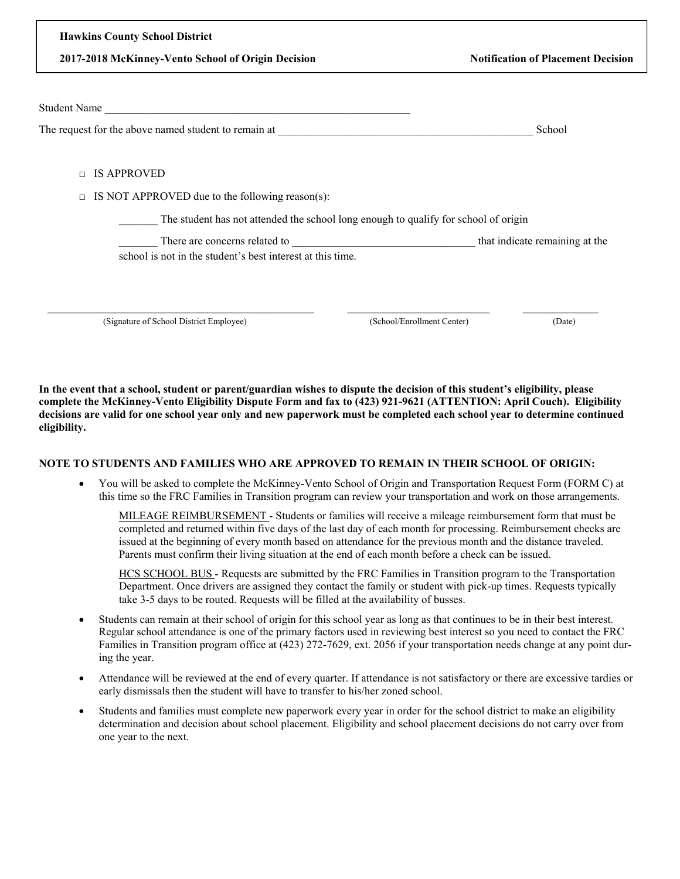**2017-2018 McKinney-Vento School of Origin Decision Notification of Placement Decision**

| <b>Student Name</b>                                                                 |                            |                                |
|-------------------------------------------------------------------------------------|----------------------------|--------------------------------|
| The request for the above named student to remain at                                |                            | School                         |
|                                                                                     |                            |                                |
| <b>IS APPROVED</b><br>$\Box$                                                        |                            |                                |
| IS NOT APPROVED due to the following reason(s):<br>$\Box$                           |                            |                                |
| The student has not attended the school long enough to qualify for school of origin |                            |                                |
| There are concerns related to                                                       |                            | that indicate remaining at the |
| school is not in the student's best interest at this time.                          |                            |                                |
|                                                                                     |                            |                                |
|                                                                                     |                            |                                |
| (Signature of School District Employee)                                             | (School/Enrollment Center) | (Date)                         |

**In the event that a school, student or parent/guardian wishes to dispute the decision of this student's eligibility, please complete the McKinney-Vento Eligibility Dispute Form and fax to (423) 921-9621 (ATTENTION: April Couch). Eligibility decisions are valid for one school year only and new paperwork must be completed each school year to determine continued eligibility.** 

## **NOTE TO STUDENTS AND FAMILIES WHO ARE APPROVED TO REMAIN IN THEIR SCHOOL OF ORIGIN:**

 You will be asked to complete the McKinney-Vento School of Origin and Transportation Request Form (FORM C) at this time so the FRC Families in Transition program can review your transportation and work on those arrangements.

MILEAGE REIMBURSEMENT - Students or families will receive a mileage reimbursement form that must be completed and returned within five days of the last day of each month for processing. Reimbursement checks are issued at the beginning of every month based on attendance for the previous month and the distance traveled. Parents must confirm their living situation at the end of each month before a check can be issued.

HCS SCHOOL BUS - Requests are submitted by the FRC Families in Transition program to the Transportation Department. Once drivers are assigned they contact the family or student with pick-up times. Requests typically take 3-5 days to be routed. Requests will be filled at the availability of busses.

- Students can remain at their school of origin for this school year as long as that continues to be in their best interest. Regular school attendance is one of the primary factors used in reviewing best interest so you need to contact the FRC Families in Transition program office at (423) 272-7629, ext. 2056 if your transportation needs change at any point during the year.
- Attendance will be reviewed at the end of every quarter. If attendance is not satisfactory or there are excessive tardies or early dismissals then the student will have to transfer to his/her zoned school.
- Students and families must complete new paperwork every year in order for the school district to make an eligibility determination and decision about school placement. Eligibility and school placement decisions do not carry over from one year to the next.